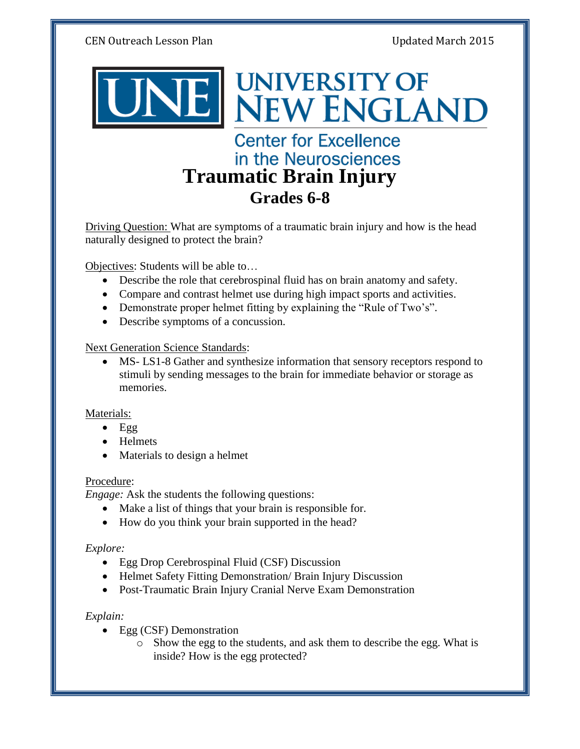CEN Outreach Lesson Plan Updated March 2015



**Center for Excellence** in the Neurosciences **Traumatic Brain Injury Grades 6-8**

**UNIVERSITY OF** 

**NEW ENGLAND** 

Driving Question: What are symptoms of a traumatic brain injury and how is the head naturally designed to protect the brain?

Objectives: Students will be able to…

- Describe the role that cerebrospinal fluid has on brain anatomy and safety.
- Compare and contrast helmet use during high impact sports and activities.
- Demonstrate proper helmet fitting by explaining the "Rule of Two's".
- Describe symptoms of a concussion.

## Next Generation Science Standards:

 MS- LS1-8 Gather and synthesize information that sensory receptors respond to stimuli by sending messages to the brain for immediate behavior or storage as memories.

## Materials:

- $Egg$
- Helmets
- Materials to design a helmet

## Procedure:

*Engage:* Ask the students the following questions:

- Make a list of things that your brain is responsible for.
- How do you think your brain supported in the head?

## *Explore:*

- Egg Drop Cerebrospinal Fluid (CSF) Discussion
- Helmet Safety Fitting Demonstration/ Brain Injury Discussion
- Post-Traumatic Brain Injury Cranial Nerve Exam Demonstration

## *Explain:*

- Egg (CSF) Demonstration
	- o Show the egg to the students, and ask them to describe the egg. What is inside? How is the egg protected?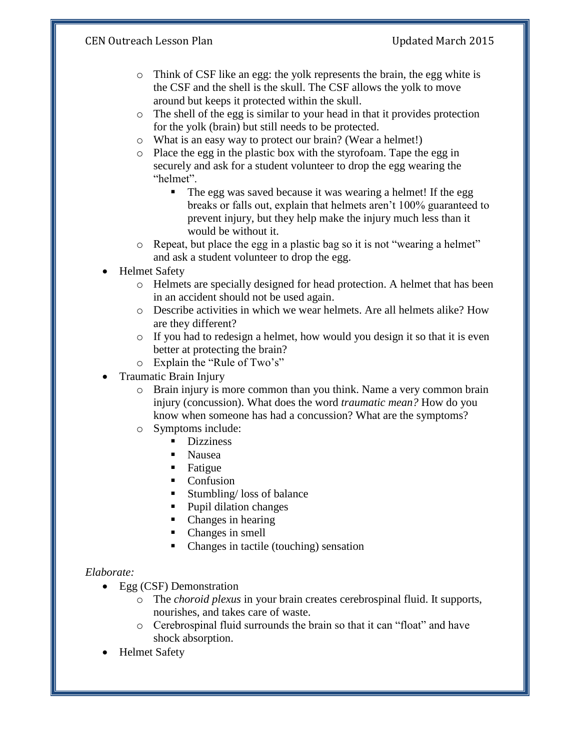# CEN Outreach Lesson Plan Updated March 2015

- o Think of CSF like an egg: the yolk represents the brain, the egg white is the CSF and the shell is the skull. The CSF allows the yolk to move around but keeps it protected within the skull.
- o The shell of the egg is similar to your head in that it provides protection for the yolk (brain) but still needs to be protected.
- o What is an easy way to protect our brain? (Wear a helmet!)
- o Place the egg in the plastic box with the styrofoam. Tape the egg in securely and ask for a student volunteer to drop the egg wearing the "helmet".
	- The egg was saved because it was wearing a helmet! If the egg breaks or falls out, explain that helmets aren't 100% guaranteed to prevent injury, but they help make the injury much less than it would be without it.
- o Repeat, but place the egg in a plastic bag so it is not "wearing a helmet" and ask a student volunteer to drop the egg.
- Helmet Safety
	- o Helmets are specially designed for head protection. A helmet that has been in an accident should not be used again.
	- o Describe activities in which we wear helmets. Are all helmets alike? How are they different?
	- o If you had to redesign a helmet, how would you design it so that it is even better at protecting the brain?
	- o Explain the "Rule of Two's"
- Traumatic Brain Injury
	- o Brain injury is more common than you think. Name a very common brain injury (concussion). What does the word *traumatic mean?* How do you know when someone has had a concussion? What are the symptoms?
	- o Symptoms include:
		- **Dizziness**
		- Nausea
		- **Fatigue**
		- Confusion
		- Stumbling/ loss of balance
		- Pupil dilation changes
		- Changes in hearing
		- Changes in smell
		- Changes in tactile (touching) sensation

## *Elaborate:*

- Egg (CSF) Demonstration
	- o The *choroid plexus* in your brain creates cerebrospinal fluid. It supports, nourishes, and takes care of waste.
	- o Cerebrospinal fluid surrounds the brain so that it can "float" and have shock absorption.
- Helmet Safety